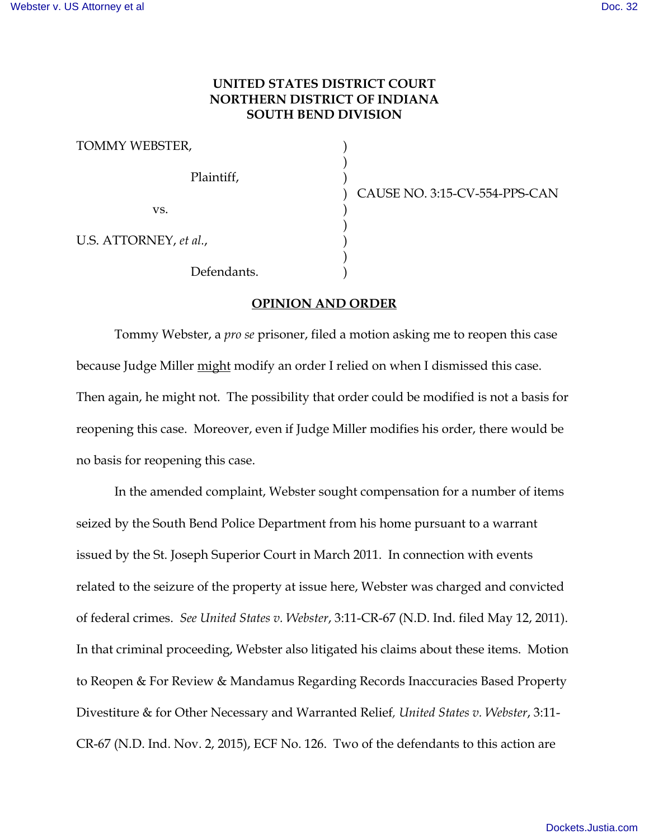## **UNITED STATES DISTRICT COURT NORTHERN DISTRICT OF INDIANA SOUTH BEND DIVISION**

)

)

)

TOMMY WEBSTER, ) Plaintiff, )  $\mathbf{v}\mathbf{s}$ .  $\qquad \qquad$  ) U.S. ATTORNEY, et al.,

Defendants.

) CAUSE NO. 3:15-CV-554-PPS-CAN

## **OPINION AND ORDER**

Tommy Webster, a *pro se* prisoner, filed a motion asking me to reopen this case because Judge Miller might modify an order I relied on when I dismissed this case. Then again, he might not. The possibility that order could be modified is not a basis for reopening this case. Moreover, even if Judge Miller modifies his order, there would be no basis for reopening this case.

In the amended complaint, Webster sought compensation for a number of items seized by the South Bend Police Department from his home pursuant to a warrant issued by the St. Joseph Superior Court in March 2011. In connection with events related to the seizure of the property at issue here, Webster was charged and convicted of federal crimes. *See United States v. Webster*, 3:11-CR-67 (N.D. Ind. filed May 12, 2011). In that criminal proceeding, Webster also litigated his claims about these items. Motion to Reopen & For Review & Mandamus Regarding Records Inaccuracies Based Property Divestiture & for Other Necessary and Warranted Relief*, United States v. Webster*, 3:11- CR-67 (N.D. Ind. Nov. 2, 2015), ECF No. 126. Two of the defendants to this action are